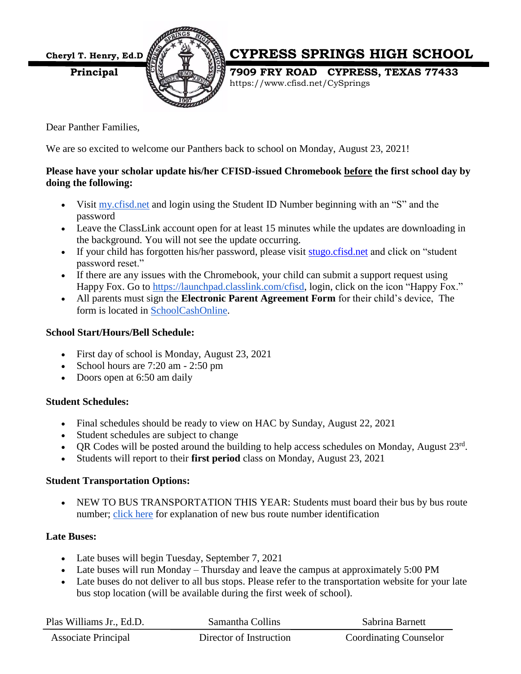

# **Cheryl T. Henry, Ed.D. CYPRESS SPRINGS HIGH SCHOOL**

**Principal 1998 FRY ROAD CYPRESS, TEXAS 77433** https://www.cfisd.net/CySprings

Dear Panther Families,

We are so excited to welcome our Panthers back to school on Monday, August 23, 2021!

### **Please have your scholar update his/her CFISD-issued Chromebook before the first school day by doing the following:**

- Visit [my.cfisd.net](http://track.spe.schoolmessenger.com/f/a/f_EEJrmZ2nRFvrZPcazIOQ~~/AAAAAQA~/RgRjAUNMP0QhaHR0cHM6Ly9teWFwcHMuY2xhc3NsaW5rLmNvbS9ob21lVwdzY2hvb2xtQgphIMwPIGENtv3cUhlhbWFuZGFwb3N0cmlnYW5AZ21haWwuY29tWAQAAAAB) and login using the Student ID Number beginning with an "S" and the password
- Leave the ClassLink account open for at least 15 minutes while the updates are downloading in the background. You will not see the update occurring.
- If your child has forgotten his/her password, please visit [stugo.cfisd.net](http://stugo.cfisd.net/) and click on "student password reset."
- If there are any issues with the Chromebook, your child can submit a support request using Happy Fox. Go to [https://launchpad.classlink.com/cfisd,](http://track.spe.schoolmessenger.com/f/a/GbNgTjn5iJo6oESxX_XvVg~~/AAAAAQA~/RgRjAUNMP0QlaHR0cHM6Ly9sYXVuY2hwYWQuY2xhc3NsaW5rLmNvbS9jZmlzZFcHc2Nob29sbUIKYSDMDyBhDbb93FIZYW1hbmRhcG9zdHJpZ2FuQGdtYWlsLmNvbVgEAAAAAQ~~) login, click on the icon "Happy Fox."
- All parents must sign the **Electronic Parent Agreement Form** for their child's device, The form is located in [SchoolCashOnline.](http://track.spe.schoolmessenger.com/f/a/Df7yAfph8toKQWiXz4TDSw~~/AAAAAQA~/RgRjAUNMP0Q9aHR0cHM6Ly9jeXByZXNzLWZhaXJiYW5rc2lzZC5zY2hvb2xjYXNob25saW5lLmNvbS9Ib21lL1NpZ25JblcHc2Nob29sbUIKYSDMDyBhDbb93FIZYW1hbmRhcG9zdHJpZ2FuQGdtYWlsLmNvbVgEAAAAAQ~~)

# **School Start/Hours/Bell Schedule:**

- First day of school is Monday, August 23, 2021
- School hours are  $7:20$  am  $-2:50$  pm
- Doors open at 6:50 am daily

#### **Student Schedules:**

- Final schedules should be ready to view on HAC by Sunday, August 22, 2021
- Student schedules are subject to change
- QR Codes will be posted around the building to help access schedules on Monday, August  $23<sup>rd</sup>$ .
- Students will report to their **first period** class on Monday, August 23, 2021

#### **Student Transportation Options:**

 NEW TO BUS TRANSPORTATION THIS YEAR: Students must board their bus by bus route number; [click here](http://track.spe.schoolmessenger.com/f/a/tlIOIDxdHes-U0mxW0az6w~~/AAAAAQA~/RgRjAUNMP0RSaHR0cHM6Ly9kcml2ZS5nb29nbGUuY29tL2ZpbGUvZC8xcUg3ZVhxN1Z0Z0FYdE5zdUt4aGNzaE9NVjExZHZzdHkvdmlldz91c3A9c2hhcmluZ1cHc2Nob29sbUIKYSDMDyBhDbb93FIZYW1hbmRhcG9zdHJpZ2FuQGdtYWlsLmNvbVgEAAAAAQ~~) for explanation of new bus route number identification

# **Late Buses:**

- Late buses will begin Tuesday, September 7, 2021
- Late buses will run Monday Thursday and leave the campus at approximately 5:00 PM
- Late buses do not deliver to all bus stops. Please refer to the transportation website for your late bus stop location (will be available during the first week of school).

| Plas Williams Jr., Ed.D.   | Samantha Collins        | Sabrina Barnett               |
|----------------------------|-------------------------|-------------------------------|
| <b>Associate Principal</b> | Director of Instruction | <b>Coordinating Counselor</b> |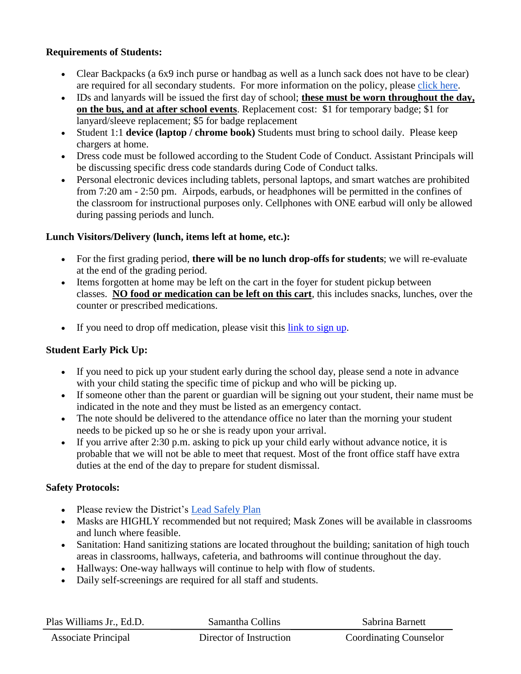## **Requirements of Students:**

- Clear Backpacks (a 6x9 inch purse or handbag as well as a lunch sack does not have to be clear) are required for all secondary students. For more information on the policy, please [click here.](http://track.spe.schoolmessenger.com/f/a/qdxXkNDpIGf4J9k5sW-v7Q~~/AAAAAQA~/RgRjAUNMP0RSaHR0cHM6Ly9kcml2ZS5nb29nbGUuY29tL2ZpbGUvZC8xWk5QdWdwRm8wT0tkbVRncUI4OEtxQmdKay1NVGlCRTkvdmlldz91c3A9c2hhcmluZ1cHc2Nob29sbUIKYSDMDyBhDbb93FIZYW1hbmRhcG9zdHJpZ2FuQGdtYWlsLmNvbVgEAAAAAQ~~)
- IDs and lanyards will be issued the first day of school; **these must be worn throughout the day, on the bus, and at after school events**. Replacement cost: \$1 for temporary badge; \$1 for lanyard/sleeve replacement; \$5 for badge replacement
- Student 1:1 **device (laptop / chrome book)** Students must bring to school daily. Please keep chargers at home.
- Dress code must be followed according to the Student Code of Conduct. Assistant Principals will be discussing specific dress code standards during Code of Conduct talks.
- Personal electronic devices including tablets, personal laptops, and smart watches are prohibited from 7:20 am - 2:50 pm. Airpods, earbuds, or headphones will be permitted in the confines of the classroom for instructional purposes only. Cellphones with ONE earbud will only be allowed during passing periods and lunch.

## **Lunch Visitors/Delivery (lunch, items left at home, etc.):**

- For the first grading period, **there will be no lunch drop-offs for students**; we will re-evaluate at the end of the grading period.
- Items forgotten at home may be left on the cart in the foyer for student pickup between classes. **NO food or medication can be left on this cart**, this includes snacks, lunches, over the counter or prescribed medications.
- If you need to drop off medication, please visit this [link to sign up.](https://www.signupgenius.com/go/10c0f4facac28a2ffc70-medication)

# **Student Early Pick Up:**

- If you need to pick up your student early during the school day, please send a note in advance with your child stating the specific time of pickup and who will be picking up.
- If someone other than the parent or guardian will be signing out your student, their name must be indicated in the note and they must be listed as an emergency contact.
- The note should be delivered to the attendance office no later than the morning your student needs to be picked up so he or she is ready upon your arrival.
- If you arrive after 2:30 p.m. asking to pick up your child early without advance notice, it is probable that we will not be able to meet that request. Most of the front office staff have extra duties at the end of the day to prepare for student dismissal.

#### **Safety Protocols:**

- Please review the District's [Lead Safely Plan](http://track.spe.schoolmessenger.com/f/a/o84s9I52P9KwPprBxc5Wdw~~/AAAAAQA~/RgRjAUNMP0QgaHR0cHM6Ly93d3cuY2Zpc2QubmV0L0xFQURTYWZlbHlXB3NjaG9vbG1CCmEgzA8gYQ22_dxSGWFtYW5kYXBvc3RyaWdhbkBnbWFpbC5jb21YBAAAAAE~)
- Masks are HIGHLY recommended but not required; Mask Zones will be available in classrooms and lunch where feasible.
- Sanitation: Hand sanitizing stations are located throughout the building; sanitation of high touch areas in classrooms, hallways, cafeteria, and bathrooms will continue throughout the day.
- Hallways: One-way hallways will continue to help with flow of students.
- Daily self-screenings are required for all staff and students.

| Plas Williams Jr., Ed.D.   | Samantha Collins        | Sabrina Barnett               |
|----------------------------|-------------------------|-------------------------------|
| <b>Associate Principal</b> | Director of Instruction | <b>Coordinating Counselor</b> |